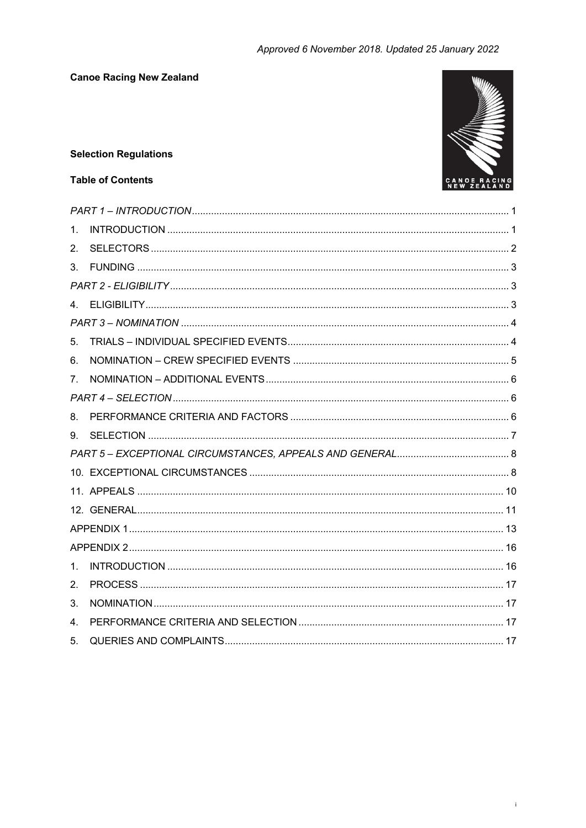

# **Selection Regulations**

# **Table of Contents**

| 1. |  |  |  |
|----|--|--|--|
| 2. |  |  |  |
| 3. |  |  |  |
|    |  |  |  |
|    |  |  |  |
|    |  |  |  |
| 5. |  |  |  |
| 6. |  |  |  |
| 7. |  |  |  |
|    |  |  |  |
| 8. |  |  |  |
| 9. |  |  |  |
|    |  |  |  |
|    |  |  |  |
|    |  |  |  |
|    |  |  |  |
|    |  |  |  |
|    |  |  |  |
| 1. |  |  |  |
| 2. |  |  |  |
| 3. |  |  |  |
| 4. |  |  |  |
| 5. |  |  |  |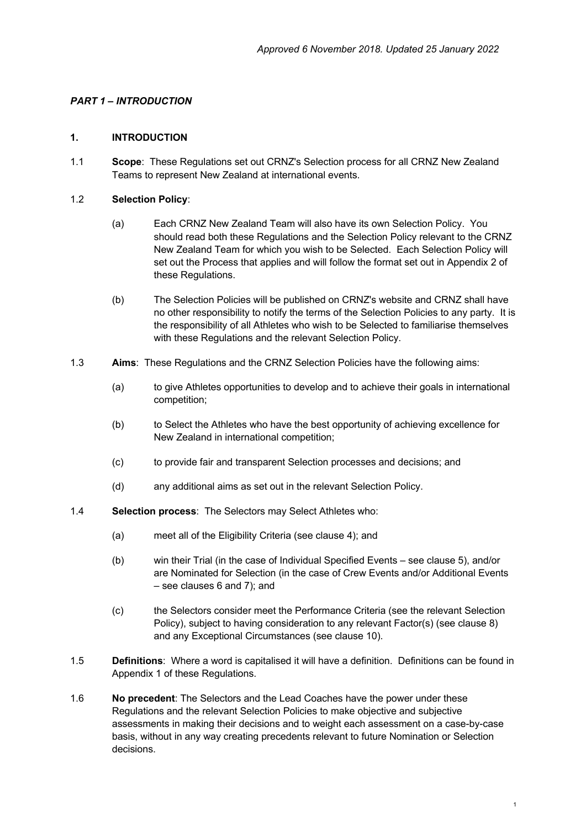# *PART 1 – INTRODUCTION*

### **1. INTRODUCTION**

1.1 **Scope**: These Regulations set out CRNZ's Selection process for all CRNZ New Zealand Teams to represent New Zealand at international events.

## 1.2 **Selection Policy**:

- (a) Each CRNZ New Zealand Team will also have its own Selection Policy. You should read both these Regulations and the Selection Policy relevant to the CRNZ New Zealand Team for which you wish to be Selected. Each Selection Policy will set out the Process that applies and will follow the format set out in Appendix 2 of these Regulations.
- (b) The Selection Policies will be published on CRNZ's website and CRNZ shall have no other responsibility to notify the terms of the Selection Policies to any party. It is the responsibility of all Athletes who wish to be Selected to familiarise themselves with these Regulations and the relevant Selection Policy.
- 1.3 **Aims**: These Regulations and the CRNZ Selection Policies have the following aims:
	- (a) to give Athletes opportunities to develop and to achieve their goals in international competition;
	- (b) to Select the Athletes who have the best opportunity of achieving excellence for New Zealand in international competition;
	- (c) to provide fair and transparent Selection processes and decisions; and
	- (d) any additional aims as set out in the relevant Selection Policy.
- 1.4 **Selection process**: The Selectors may Select Athletes who:
	- (a) meet all of the Eligibility Criteria (see clause 4); and
	- (b) win their Trial (in the case of Individual Specified Events see clause 5), and/or are Nominated for Selection (in the case of Crew Events and/or Additional Events – see clauses 6 and 7); and
	- (c) the Selectors consider meet the Performance Criteria (see the relevant Selection Policy), subject to having consideration to any relevant Factor(s) (see clause 8) and any Exceptional Circumstances (see clause 10).
- 1.5 **Definitions**: Where a word is capitalised it will have a definition. Definitions can be found in Appendix 1 of these Regulations.
- 1.6 **No precedent**: The Selectors and the Lead Coaches have the power under these Regulations and the relevant Selection Policies to make objective and subjective assessments in making their decisions and to weight each assessment on a case-by-case basis, without in any way creating precedents relevant to future Nomination or Selection decisions.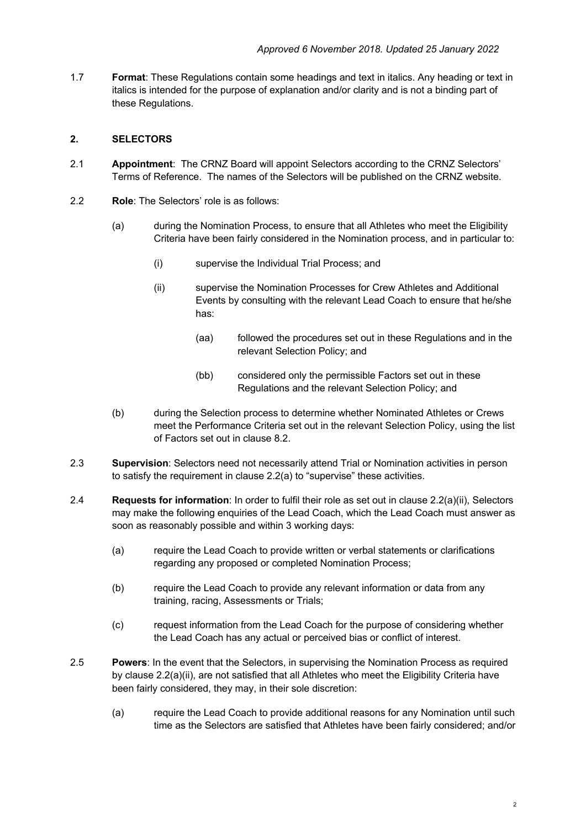1.7 **Format**: These Regulations contain some headings and text in italics. Any heading or text in italics is intended for the purpose of explanation and/or clarity and is not a binding part of these Regulations.

## **2. SELECTORS**

- 2.1 **Appointment**: The CRNZ Board will appoint Selectors according to the CRNZ Selectors' Terms of Reference. The names of the Selectors will be published on the CRNZ website.
- 2.2 **Role**: The Selectors' role is as follows:
	- (a) during the Nomination Process, to ensure that all Athletes who meet the Eligibility Criteria have been fairly considered in the Nomination process, and in particular to:
		- (i) supervise the Individual Trial Process; and
		- (ii) supervise the Nomination Processes for Crew Athletes and Additional Events by consulting with the relevant Lead Coach to ensure that he/she has:
			- (aa) followed the procedures set out in these Regulations and in the relevant Selection Policy; and
			- (bb) considered only the permissible Factors set out in these Regulations and the relevant Selection Policy; and
	- (b) during the Selection process to determine whether Nominated Athletes or Crews meet the Performance Criteria set out in the relevant Selection Policy, using the list of Factors set out in clause 8.2.
- 2.3 **Supervision**: Selectors need not necessarily attend Trial or Nomination activities in person to satisfy the requirement in clause 2.2(a) to "supervise" these activities.
- 2.4 **Requests for information**: In order to fulfil their role as set out in clause 2.2(a)(ii), Selectors may make the following enquiries of the Lead Coach, which the Lead Coach must answer as soon as reasonably possible and within 3 working days:
	- (a) require the Lead Coach to provide written or verbal statements or clarifications regarding any proposed or completed Nomination Process;
	- (b) require the Lead Coach to provide any relevant information or data from any training, racing, Assessments or Trials;
	- (c) request information from the Lead Coach for the purpose of considering whether the Lead Coach has any actual or perceived bias or conflict of interest.
- 2.5 **Powers**: In the event that the Selectors, in supervising the Nomination Process as required by clause 2.2(a)(ii), are not satisfied that all Athletes who meet the Eligibility Criteria have been fairly considered, they may, in their sole discretion:
	- (a) require the Lead Coach to provide additional reasons for any Nomination until such time as the Selectors are satisfied that Athletes have been fairly considered; and/or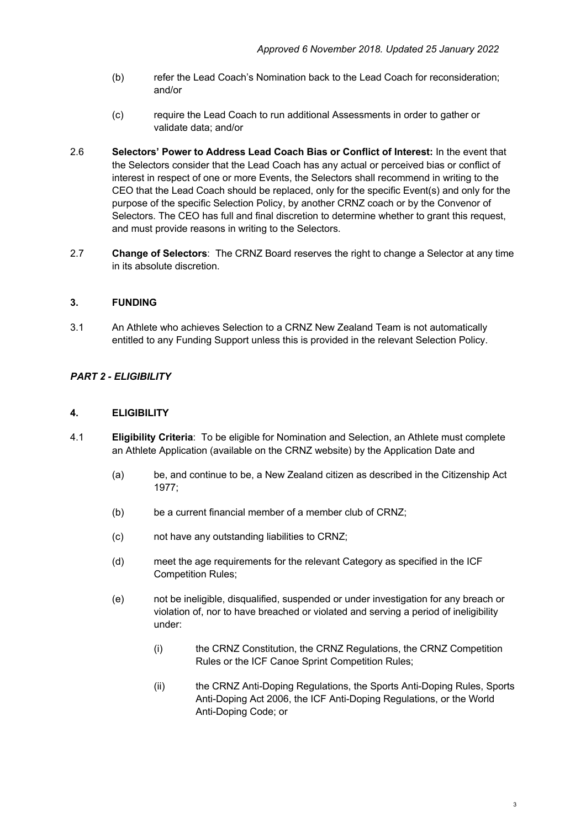- (b) refer the Lead Coach's Nomination back to the Lead Coach for reconsideration; and/or
- (c) require the Lead Coach to run additional Assessments in order to gather or validate data; and/or
- 2.6 **Selectors' Power to Address Lead Coach Bias or Conflict of Interest:** In the event that the Selectors consider that the Lead Coach has any actual or perceived bias or conflict of interest in respect of one or more Events, the Selectors shall recommend in writing to the CEO that the Lead Coach should be replaced, only for the specific Event(s) and only for the purpose of the specific Selection Policy, by another CRNZ coach or by the Convenor of Selectors. The CEO has full and final discretion to determine whether to grant this request, and must provide reasons in writing to the Selectors.
- 2.7 **Change of Selectors**: The CRNZ Board reserves the right to change a Selector at any time in its absolute discretion.

### **3. FUNDING**

3.1 An Athlete who achieves Selection to a CRNZ New Zealand Team is not automatically entitled to any Funding Support unless this is provided in the relevant Selection Policy.

## *PART 2 - ELIGIBILITY*

#### **4. ELIGIBILITY**

- 4.1 **Eligibility Criteria**: To be eligible for Nomination and Selection, an Athlete must complete an Athlete Application (available on the CRNZ website) by the Application Date and
	- (a) be, and continue to be, a New Zealand citizen as described in the Citizenship Act 1977;
	- (b) be a current financial member of a member club of CRNZ;
	- (c) not have any outstanding liabilities to CRNZ;
	- (d) meet the age requirements for the relevant Category as specified in the ICF Competition Rules;
	- (e) not be ineligible, disqualified, suspended or under investigation for any breach or violation of, nor to have breached or violated and serving a period of ineligibility under:
		- (i) the CRNZ Constitution, the CRNZ Regulations, the CRNZ Competition Rules or the ICF Canoe Sprint Competition Rules;
		- (ii) the CRNZ Anti-Doping Regulations, the Sports Anti-Doping Rules, Sports Anti-Doping Act 2006, the ICF Anti-Doping Regulations, or the World Anti-Doping Code; or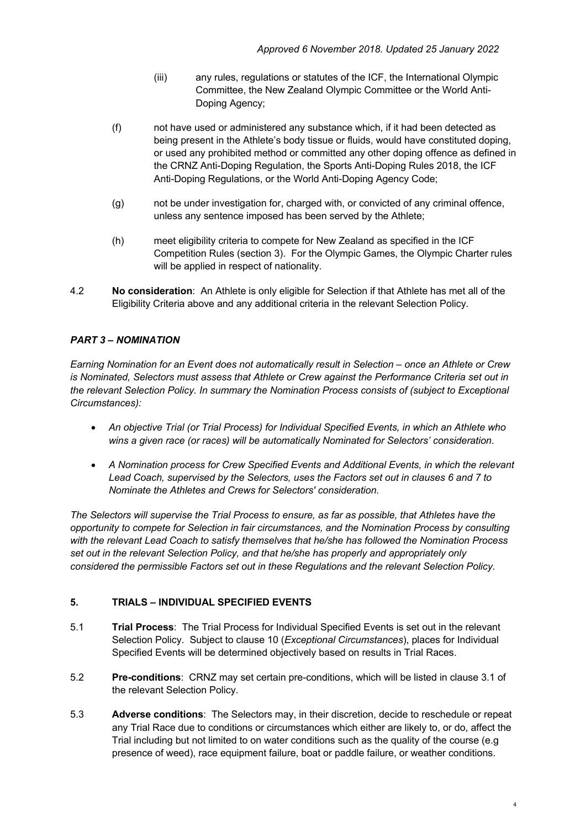- (iii) any rules, regulations or statutes of the ICF, the International Olympic Committee, the New Zealand Olympic Committee or the World Anti-Doping Agency;
- (f) not have used or administered any substance which, if it had been detected as being present in the Athlete's body tissue or fluids, would have constituted doping, or used any prohibited method or committed any other doping offence as defined in the CRNZ Anti-Doping Regulation, the Sports Anti-Doping Rules 2018, the ICF Anti-Doping Regulations, or the World Anti-Doping Agency Code;
- (g) not be under investigation for, charged with, or convicted of any criminal offence, unless any sentence imposed has been served by the Athlete;
- (h) meet eligibility criteria to compete for New Zealand as specified in the ICF Competition Rules (section 3). For the Olympic Games, the Olympic Charter rules will be applied in respect of nationality.
- 4.2 **No consideration**: An Athlete is only eligible for Selection if that Athlete has met all of the Eligibility Criteria above and any additional criteria in the relevant Selection Policy.

# *PART 3 – NOMINATION*

*Earning Nomination for an Event does not automatically result in Selection – once an Athlete or Crew is Nominated, Selectors must assess that Athlete or Crew against the Performance Criteria set out in the relevant Selection Policy. In summary the Nomination Process consists of (subject to Exceptional Circumstances):*

- *An objective Trial (or Trial Process) for Individual Specified Events, in which an Athlete who wins a given race (or races) will be automatically Nominated for Selectors' consideration.*
- *A Nomination process for Crew Specified Events and Additional Events, in which the relevant Lead Coach, supervised by the Selectors, uses the Factors set out in clauses 6 and 7 to Nominate the Athletes and Crews for Selectors' consideration.*

*The Selectors will supervise the Trial Process to ensure, as far as possible, that Athletes have the opportunity to compete for Selection in fair circumstances, and the Nomination Process by consulting with the relevant Lead Coach to satisfy themselves that he/she has followed the Nomination Process set out in the relevant Selection Policy, and that he/she has properly and appropriately only considered the permissible Factors set out in these Regulations and the relevant Selection Policy.*

### **5. TRIALS – INDIVIDUAL SPECIFIED EVENTS**

- 5.1 **Trial Process**: The Trial Process for Individual Specified Events is set out in the relevant Selection Policy. Subject to clause 10 (*Exceptional Circumstances*), places for Individual Specified Events will be determined objectively based on results in Trial Races.
- 5.2 **Pre-conditions**: CRNZ may set certain pre-conditions, which will be listed in clause 3.1 of the relevant Selection Policy.
- 5.3 **Adverse conditions**: The Selectors may, in their discretion, decide to reschedule or repeat any Trial Race due to conditions or circumstances which either are likely to, or do, affect the Trial including but not limited to on water conditions such as the quality of the course (e.g presence of weed), race equipment failure, boat or paddle failure, or weather conditions.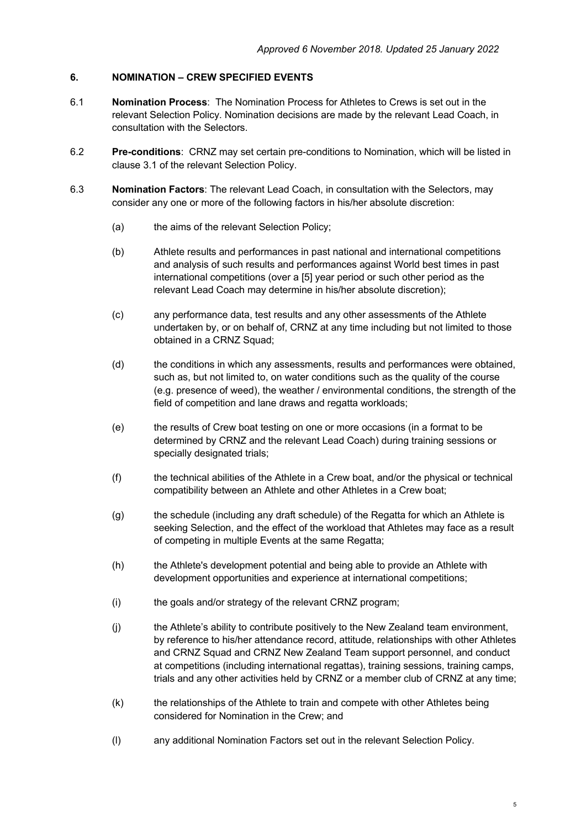#### **6. NOMINATION – CREW SPECIFIED EVENTS**

- 6.1 **Nomination Process**: The Nomination Process for Athletes to Crews is set out in the relevant Selection Policy. Nomination decisions are made by the relevant Lead Coach, in consultation with the Selectors.
- 6.2 **Pre-conditions**: CRNZ may set certain pre-conditions to Nomination, which will be listed in clause 3.1 of the relevant Selection Policy.
- 6.3 **Nomination Factors**: The relevant Lead Coach, in consultation with the Selectors, may consider any one or more of the following factors in his/her absolute discretion:
	- (a) the aims of the relevant Selection Policy;
	- (b) Athlete results and performances in past national and international competitions and analysis of such results and performances against World best times in past international competitions (over a [5] year period or such other period as the relevant Lead Coach may determine in his/her absolute discretion);
	- (c) any performance data, test results and any other assessments of the Athlete undertaken by, or on behalf of, CRNZ at any time including but not limited to those obtained in a CRNZ Squad;
	- (d) the conditions in which any assessments, results and performances were obtained, such as, but not limited to, on water conditions such as the quality of the course (e.g. presence of weed), the weather / environmental conditions, the strength of the field of competition and lane draws and regatta workloads;
	- (e) the results of Crew boat testing on one or more occasions (in a format to be determined by CRNZ and the relevant Lead Coach) during training sessions or specially designated trials;
	- (f) the technical abilities of the Athlete in a Crew boat, and/or the physical or technical compatibility between an Athlete and other Athletes in a Crew boat;
	- (g) the schedule (including any draft schedule) of the Regatta for which an Athlete is seeking Selection, and the effect of the workload that Athletes may face as a result of competing in multiple Events at the same Regatta;
	- (h) the Athlete's development potential and being able to provide an Athlete with development opportunities and experience at international competitions;
	- (i) the goals and/or strategy of the relevant CRNZ program;
	- (j) the Athlete's ability to contribute positively to the New Zealand team environment, by reference to his/her attendance record, attitude, relationships with other Athletes and CRNZ Squad and CRNZ New Zealand Team support personnel, and conduct at competitions (including international regattas), training sessions, training camps, trials and any other activities held by CRNZ or a member club of CRNZ at any time;
	- (k) the relationships of the Athlete to train and compete with other Athletes being considered for Nomination in the Crew; and
	- (l) any additional Nomination Factors set out in the relevant Selection Policy.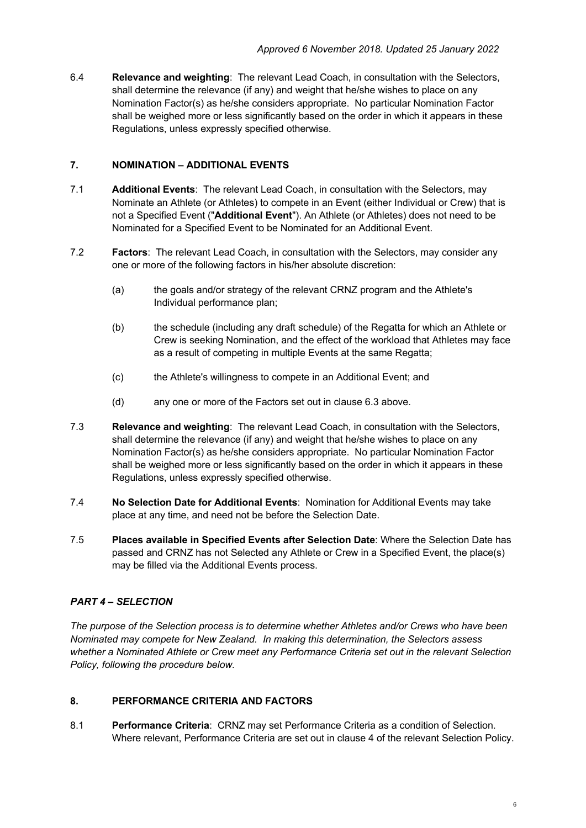6.4 **Relevance and weighting**: The relevant Lead Coach, in consultation with the Selectors, shall determine the relevance (if any) and weight that he/she wishes to place on any Nomination Factor(s) as he/she considers appropriate. No particular Nomination Factor shall be weighed more or less significantly based on the order in which it appears in these Regulations, unless expressly specified otherwise.

## **7. NOMINATION – ADDITIONAL EVENTS**

- 7.1 **Additional Events**: The relevant Lead Coach, in consultation with the Selectors, may Nominate an Athlete (or Athletes) to compete in an Event (either Individual or Crew) that is not a Specified Event ("**Additional Event**"). An Athlete (or Athletes) does not need to be Nominated for a Specified Event to be Nominated for an Additional Event.
- 7.2 **Factors**: The relevant Lead Coach, in consultation with the Selectors, may consider any one or more of the following factors in his/her absolute discretion:
	- (a) the goals and/or strategy of the relevant CRNZ program and the Athlete's Individual performance plan;
	- (b) the schedule (including any draft schedule) of the Regatta for which an Athlete or Crew is seeking Nomination, and the effect of the workload that Athletes may face as a result of competing in multiple Events at the same Regatta;
	- (c) the Athlete's willingness to compete in an Additional Event; and
	- (d) any one or more of the Factors set out in clause 6.3 above.
- 7.3 **Relevance and weighting**: The relevant Lead Coach, in consultation with the Selectors, shall determine the relevance (if any) and weight that he/she wishes to place on any Nomination Factor(s) as he/she considers appropriate. No particular Nomination Factor shall be weighed more or less significantly based on the order in which it appears in these Regulations, unless expressly specified otherwise.
- 7.4 **No Selection Date for Additional Events**: Nomination for Additional Events may take place at any time, and need not be before the Selection Date.
- 7.5 **Places available in Specified Events after Selection Date**: Where the Selection Date has passed and CRNZ has not Selected any Athlete or Crew in a Specified Event, the place(s) may be filled via the Additional Events process.

# *PART 4 – SELECTION*

*The purpose of the Selection process is to determine whether Athletes and/or Crews who have been Nominated may compete for New Zealand. In making this determination, the Selectors assess whether a Nominated Athlete or Crew meet any Performance Criteria set out in the relevant Selection Policy, following the procedure below.*

### **8. PERFORMANCE CRITERIA AND FACTORS**

8.1 **Performance Criteria**: CRNZ may set Performance Criteria as a condition of Selection. Where relevant, Performance Criteria are set out in clause 4 of the relevant Selection Policy.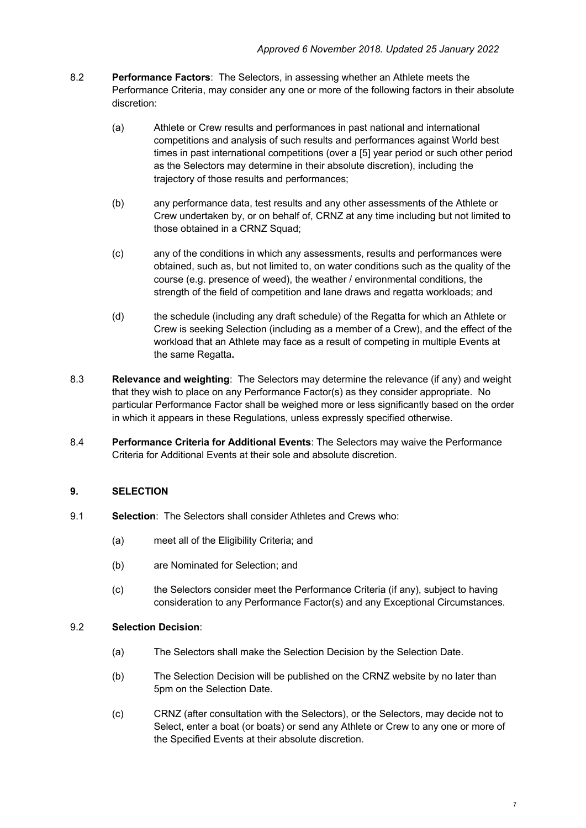- 8.2 **Performance Factors**: The Selectors, in assessing whether an Athlete meets the Performance Criteria, may consider any one or more of the following factors in their absolute discretion:
	- (a) Athlete or Crew results and performances in past national and international competitions and analysis of such results and performances against World best times in past international competitions (over a [5] year period or such other period as the Selectors may determine in their absolute discretion), including the trajectory of those results and performances;
	- (b) any performance data, test results and any other assessments of the Athlete or Crew undertaken by, or on behalf of, CRNZ at any time including but not limited to those obtained in a CRNZ Squad;
	- (c) any of the conditions in which any assessments, results and performances were obtained, such as, but not limited to, on water conditions such as the quality of the course (e.g. presence of weed), the weather / environmental conditions, the strength of the field of competition and lane draws and regatta workloads; and
	- (d) the schedule (including any draft schedule) of the Regatta for which an Athlete or Crew is seeking Selection (including as a member of a Crew), and the effect of the workload that an Athlete may face as a result of competing in multiple Events at the same Regatta**.**
- 8.3 **Relevance and weighting**: The Selectors may determine the relevance (if any) and weight that they wish to place on any Performance Factor(s) as they consider appropriate. No particular Performance Factor shall be weighed more or less significantly based on the order in which it appears in these Regulations, unless expressly specified otherwise.
- 8.4 **Performance Criteria for Additional Events**: The Selectors may waive the Performance Criteria for Additional Events at their sole and absolute discretion.

# **9. SELECTION**

- 9.1 **Selection**: The Selectors shall consider Athletes and Crews who:
	- (a) meet all of the Eligibility Criteria; and
	- (b) are Nominated for Selection; and
	- (c) the Selectors consider meet the Performance Criteria (if any), subject to having consideration to any Performance Factor(s) and any Exceptional Circumstances.

### 9.2 **Selection Decision**:

- (a) The Selectors shall make the Selection Decision by the Selection Date.
- (b) The Selection Decision will be published on the CRNZ website by no later than 5pm on the Selection Date.
- (c) CRNZ (after consultation with the Selectors), or the Selectors, may decide not to Select, enter a boat (or boats) or send any Athlete or Crew to any one or more of the Specified Events at their absolute discretion.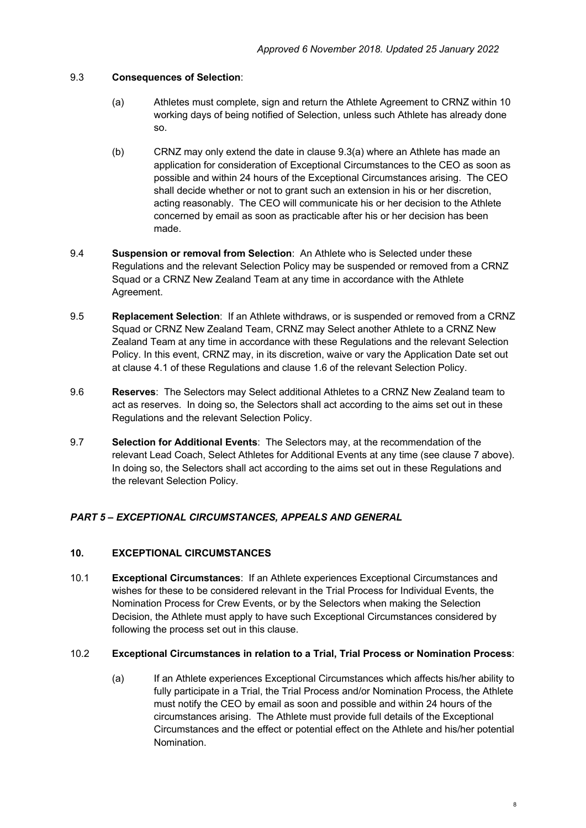### 9.3 **Consequences of Selection**:

- (a) Athletes must complete, sign and return the Athlete Agreement to CRNZ within 10 working days of being notified of Selection, unless such Athlete has already done so.
- (b) CRNZ may only extend the date in clause 9.3(a) where an Athlete has made an application for consideration of Exceptional Circumstances to the CEO as soon as possible and within 24 hours of the Exceptional Circumstances arising. The CEO shall decide whether or not to grant such an extension in his or her discretion, acting reasonably. The CEO will communicate his or her decision to the Athlete concerned by email as soon as practicable after his or her decision has been made.
- 9.4 **Suspension or removal from Selection**: An Athlete who is Selected under these Regulations and the relevant Selection Policy may be suspended or removed from a CRNZ Squad or a CRNZ New Zealand Team at any time in accordance with the Athlete Agreement.
- 9.5 **Replacement Selection**: If an Athlete withdraws, or is suspended or removed from a CRNZ Squad or CRNZ New Zealand Team, CRNZ may Select another Athlete to a CRNZ New Zealand Team at any time in accordance with these Regulations and the relevant Selection Policy. In this event, CRNZ may, in its discretion, waive or vary the Application Date set out at clause 4.1 of these Regulations and clause 1.6 of the relevant Selection Policy.
- 9.6 **Reserves**: The Selectors may Select additional Athletes to a CRNZ New Zealand team to act as reserves. In doing so, the Selectors shall act according to the aims set out in these Regulations and the relevant Selection Policy.
- 9.7 **Selection for Additional Events**: The Selectors may, at the recommendation of the relevant Lead Coach, Select Athletes for Additional Events at any time (see clause 7 above). In doing so, the Selectors shall act according to the aims set out in these Regulations and the relevant Selection Policy.

# *PART 5 – EXCEPTIONAL CIRCUMSTANCES, APPEALS AND GENERAL*

## **10. EXCEPTIONAL CIRCUMSTANCES**

10.1 **Exceptional Circumstances**: If an Athlete experiences Exceptional Circumstances and wishes for these to be considered relevant in the Trial Process for Individual Events, the Nomination Process for Crew Events, or by the Selectors when making the Selection Decision, the Athlete must apply to have such Exceptional Circumstances considered by following the process set out in this clause.

### 10.2 **Exceptional Circumstances in relation to a Trial, Trial Process or Nomination Process**:

(a) If an Athlete experiences Exceptional Circumstances which affects his/her ability to fully participate in a Trial, the Trial Process and/or Nomination Process, the Athlete must notify the CEO by email as soon and possible and within 24 hours of the circumstances arising. The Athlete must provide full details of the Exceptional Circumstances and the effect or potential effect on the Athlete and his/her potential Nomination.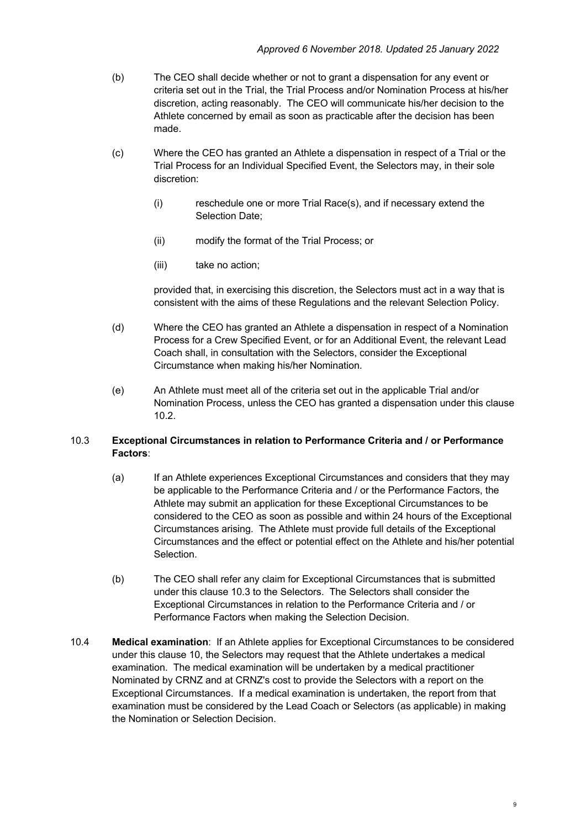- (b) The CEO shall decide whether or not to grant a dispensation for any event or criteria set out in the Trial, the Trial Process and/or Nomination Process at his/her discretion, acting reasonably. The CEO will communicate his/her decision to the Athlete concerned by email as soon as practicable after the decision has been made.
- (c) Where the CEO has granted an Athlete a dispensation in respect of a Trial or the Trial Process for an Individual Specified Event, the Selectors may, in their sole discretion:
	- (i) reschedule one or more Trial Race(s), and if necessary extend the Selection Date;
	- (ii) modify the format of the Trial Process; or
	- (iii) take no action;

provided that, in exercising this discretion, the Selectors must act in a way that is consistent with the aims of these Regulations and the relevant Selection Policy.

- (d) Where the CEO has granted an Athlete a dispensation in respect of a Nomination Process for a Crew Specified Event, or for an Additional Event, the relevant Lead Coach shall, in consultation with the Selectors, consider the Exceptional Circumstance when making his/her Nomination.
- (e) An Athlete must meet all of the criteria set out in the applicable Trial and/or Nomination Process, unless the CEO has granted a dispensation under this clause 10.2.

## 10.3 **Exceptional Circumstances in relation to Performance Criteria and / or Performance Factors**:

- (a) If an Athlete experiences Exceptional Circumstances and considers that they may be applicable to the Performance Criteria and / or the Performance Factors, the Athlete may submit an application for these Exceptional Circumstances to be considered to the CEO as soon as possible and within 24 hours of the Exceptional Circumstances arising. The Athlete must provide full details of the Exceptional Circumstances and the effect or potential effect on the Athlete and his/her potential Selection.
- (b) The CEO shall refer any claim for Exceptional Circumstances that is submitted under this clause 10.3 to the Selectors. The Selectors shall consider the Exceptional Circumstances in relation to the Performance Criteria and / or Performance Factors when making the Selection Decision.
- 10.4 **Medical examination**: If an Athlete applies for Exceptional Circumstances to be considered under this clause 10, the Selectors may request that the Athlete undertakes a medical examination. The medical examination will be undertaken by a medical practitioner Nominated by CRNZ and at CRNZ's cost to provide the Selectors with a report on the Exceptional Circumstances. If a medical examination is undertaken, the report from that examination must be considered by the Lead Coach or Selectors (as applicable) in making the Nomination or Selection Decision.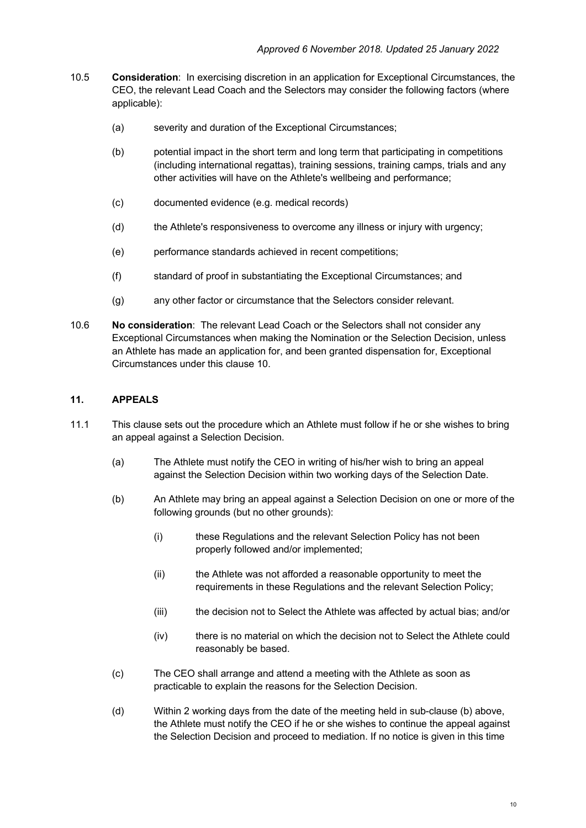- 10.5 **Consideration**: In exercising discretion in an application for Exceptional Circumstances, the CEO, the relevant Lead Coach and the Selectors may consider the following factors (where applicable):
	- (a) severity and duration of the Exceptional Circumstances;
	- (b) potential impact in the short term and long term that participating in competitions (including international regattas), training sessions, training camps, trials and any other activities will have on the Athlete's wellbeing and performance;
	- (c) documented evidence (e.g. medical records)
	- (d) the Athlete's responsiveness to overcome any illness or injury with urgency;
	- (e) performance standards achieved in recent competitions;
	- (f) standard of proof in substantiating the Exceptional Circumstances; and
	- (g) any other factor or circumstance that the Selectors consider relevant.
- 10.6 **No consideration**: The relevant Lead Coach or the Selectors shall not consider any Exceptional Circumstances when making the Nomination or the Selection Decision, unless an Athlete has made an application for, and been granted dispensation for, Exceptional Circumstances under this clause 10.

### **11. APPEALS**

- 11.1 This clause sets out the procedure which an Athlete must follow if he or she wishes to bring an appeal against a Selection Decision.
	- (a) The Athlete must notify the CEO in writing of his/her wish to bring an appeal against the Selection Decision within two working days of the Selection Date.
	- (b) An Athlete may bring an appeal against a Selection Decision on one or more of the following grounds (but no other grounds):
		- (i) these Regulations and the relevant Selection Policy has not been properly followed and/or implemented;
		- (ii) the Athlete was not afforded a reasonable opportunity to meet the requirements in these Regulations and the relevant Selection Policy;
		- (iii) the decision not to Select the Athlete was affected by actual bias; and/or
		- (iv) there is no material on which the decision not to Select the Athlete could reasonably be based.
	- (c) The CEO shall arrange and attend a meeting with the Athlete as soon as practicable to explain the reasons for the Selection Decision.
	- (d) Within 2 working days from the date of the meeting held in sub-clause (b) above, the Athlete must notify the CEO if he or she wishes to continue the appeal against the Selection Decision and proceed to mediation. If no notice is given in this time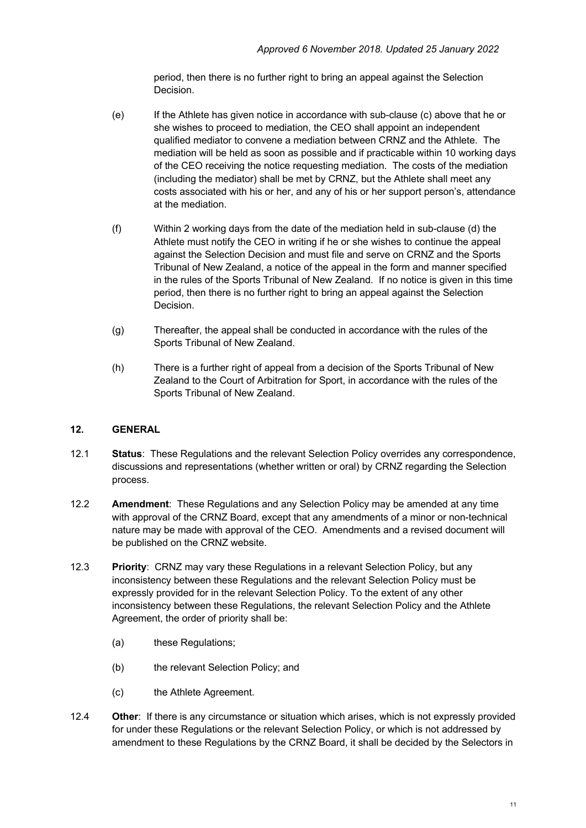period, then there is no further right to bring an appeal against the Selection Decision.

- (e) If the Athlete has given notice in accordance with sub-clause (c) above that he or she wishes to proceed to mediation, the CEO shall appoint an independent qualified mediator to convene a mediation between CRNZ and the Athlete. The mediation will be held as soon as possible and if practicable within 10 working days of the CEO receiving the notice requesting mediation. The costs of the mediation (including the mediator) shall be met by CRNZ, but the Athlete shall meet any costs associated with his or her, and any of his or her support person's, attendance at the mediation.
- (f) Within 2 working days from the date of the mediation held in sub-clause (d) the Athlete must notify the CEO in writing if he or she wishes to continue the appeal against the Selection Decision and must file and serve on CRNZ and the Sports Tribunal of New Zealand, a notice of the appeal in the form and manner specified in the rules of the Sports Tribunal of New Zealand. If no notice is given in this time period, then there is no further right to bring an appeal against the Selection Decision.
- (g) Thereafter, the appeal shall be conducted in accordance with the rules of the Sports Tribunal of New Zealand.
- (h) There is a further right of appeal from a decision of the Sports Tribunal of New Zealand to the Court of Arbitration for Sport, in accordance with the rules of the Sports Tribunal of New Zealand.

# **12. GENERAL**

- 12.1 **Status**: These Regulations and the relevant Selection Policy overrides any correspondence, discussions and representations (whether written or oral) by CRNZ regarding the Selection process.
- 12.2 **Amendment**: These Regulations and any Selection Policy may be amended at any time with approval of the CRNZ Board, except that any amendments of a minor or non-technical nature may be made with approval of the CEO. Amendments and a revised document will be published on the CRNZ website.
- 12.3 **Priority**: CRNZ may vary these Regulations in a relevant Selection Policy, but any inconsistency between these Regulations and the relevant Selection Policy must be expressly provided for in the relevant Selection Policy. To the extent of any other inconsistency between these Regulations, the relevant Selection Policy and the Athlete Agreement, the order of priority shall be:
	- (a) these Regulations;
	- (b) the relevant Selection Policy; and
	- (c) the Athlete Agreement.
- 12.4 **Other**: If there is any circumstance or situation which arises, which is not expressly provided for under these Regulations or the relevant Selection Policy, or which is not addressed by amendment to these Regulations by the CRNZ Board, it shall be decided by the Selectors in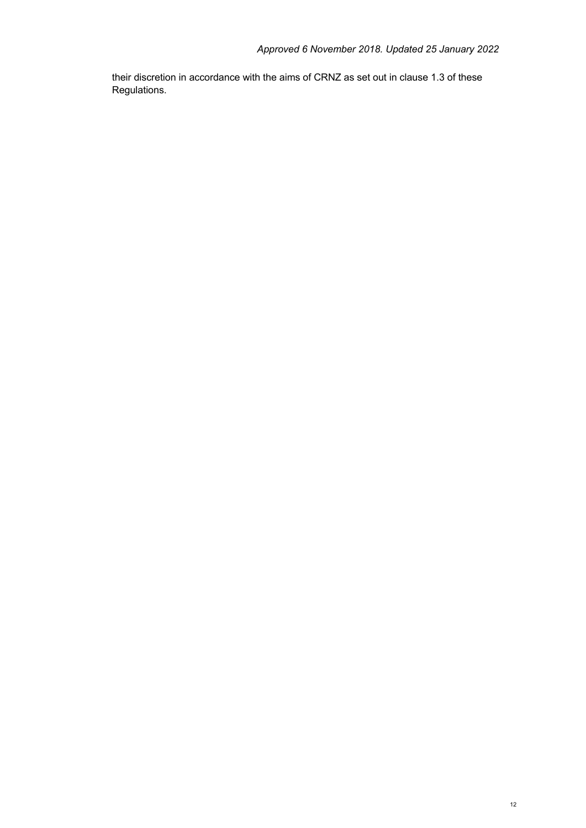their discretion in accordance with the aims of CRNZ as set out in clause 1.3 of these Regulations.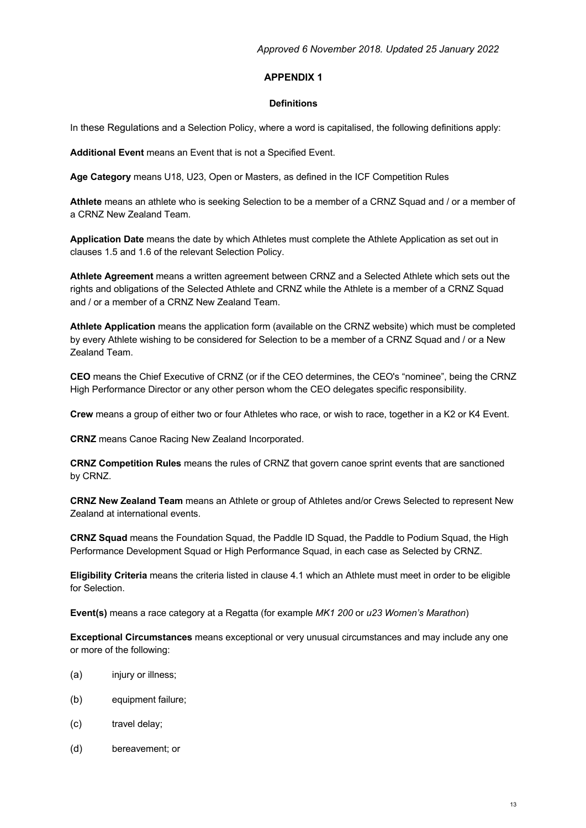#### **APPENDIX 1**

#### **Definitions**

In these Regulations and a Selection Policy, where a word is capitalised, the following definitions apply:

**Additional Event** means an Event that is not a Specified Event.

**Age Category** means U18, U23, Open or Masters, as defined in the ICF Competition Rules

**Athlete** means an athlete who is seeking Selection to be a member of a CRNZ Squad and / or a member of a CRNZ New Zealand Team.

**Application Date** means the date by which Athletes must complete the Athlete Application as set out in clauses 1.5 and 1.6 of the relevant Selection Policy.

**Athlete Agreement** means a written agreement between CRNZ and a Selected Athlete which sets out the rights and obligations of the Selected Athlete and CRNZ while the Athlete is a member of a CRNZ Squad and / or a member of a CRNZ New Zealand Team.

**Athlete Application** means the application form (available on the CRNZ website) which must be completed by every Athlete wishing to be considered for Selection to be a member of a CRNZ Squad and / or a New Zealand Team.

**CEO** means the Chief Executive of CRNZ (or if the CEO determines, the CEO's "nominee", being the CRNZ High Performance Director or any other person whom the CEO delegates specific responsibility.

**Crew** means a group of either two or four Athletes who race, or wish to race, together in a K2 or K4 Event.

**CRNZ** means Canoe Racing New Zealand Incorporated.

**CRNZ Competition Rules** means the rules of CRNZ that govern canoe sprint events that are sanctioned by CRNZ.

**CRNZ New Zealand Team** means an Athlete or group of Athletes and/or Crews Selected to represent New Zealand at international events.

**CRNZ Squad** means the Foundation Squad, the Paddle ID Squad, the Paddle to Podium Squad, the High Performance Development Squad or High Performance Squad, in each case as Selected by CRNZ.

**Eligibility Criteria** means the criteria listed in clause 4.1 which an Athlete must meet in order to be eligible for Selection.

**Event(s)** means a race category at a Regatta (for example *MK1 200* or *u23 Women's Marathon*)

**Exceptional Circumstances** means exceptional or very unusual circumstances and may include any one or more of the following:

- (a) injury or illness;
- (b) equipment failure;
- (c) travel delay;
- (d) bereavement; or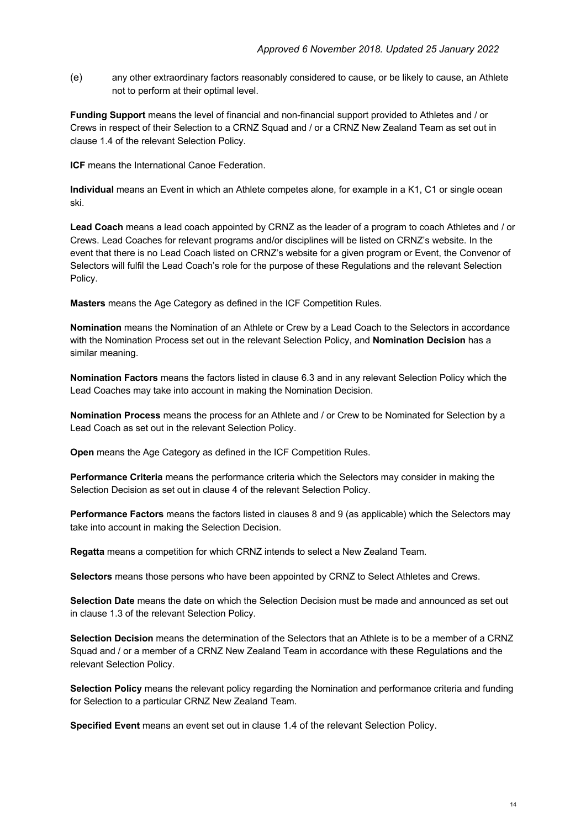(e) any other extraordinary factors reasonably considered to cause, or be likely to cause, an Athlete not to perform at their optimal level.

**Funding Support** means the level of financial and non-financial support provided to Athletes and / or Crews in respect of their Selection to a CRNZ Squad and / or a CRNZ New Zealand Team as set out in clause 1.4 of the relevant Selection Policy.

**ICF** means the International Canoe Federation.

**Individual** means an Event in which an Athlete competes alone, for example in a K1, C1 or single ocean ski.

**Lead Coach** means a lead coach appointed by CRNZ as the leader of a program to coach Athletes and / or Crews. Lead Coaches for relevant programs and/or disciplines will be listed on CRNZ's website. In the event that there is no Lead Coach listed on CRNZ's website for a given program or Event, the Convenor of Selectors will fulfil the Lead Coach's role for the purpose of these Regulations and the relevant Selection Policy.

**Masters** means the Age Category as defined in the ICF Competition Rules.

**Nomination** means the Nomination of an Athlete or Crew by a Lead Coach to the Selectors in accordance with the Nomination Process set out in the relevant Selection Policy, and **Nomination Decision** has a similar meaning.

**Nomination Factors** means the factors listed in clause 6.3 and in any relevant Selection Policy which the Lead Coaches may take into account in making the Nomination Decision.

**Nomination Process** means the process for an Athlete and / or Crew to be Nominated for Selection by a Lead Coach as set out in the relevant Selection Policy.

**Open** means the Age Category as defined in the ICF Competition Rules.

**Performance Criteria** means the performance criteria which the Selectors may consider in making the Selection Decision as set out in clause 4 of the relevant Selection Policy.

**Performance Factors** means the factors listed in clauses 8 and 9 (as applicable) which the Selectors may take into account in making the Selection Decision.

**Regatta** means a competition for which CRNZ intends to select a New Zealand Team.

**Selectors** means those persons who have been appointed by CRNZ to Select Athletes and Crews.

**Selection Date** means the date on which the Selection Decision must be made and announced as set out in clause 1.3 of the relevant Selection Policy.

**Selection Decision** means the determination of the Selectors that an Athlete is to be a member of a CRNZ Squad and / or a member of a CRNZ New Zealand Team in accordance with these Regulations and the relevant Selection Policy.

**Selection Policy** means the relevant policy regarding the Nomination and performance criteria and funding for Selection to a particular CRNZ New Zealand Team.

**Specified Event** means an event set out in clause 1.4 of the relevant Selection Policy.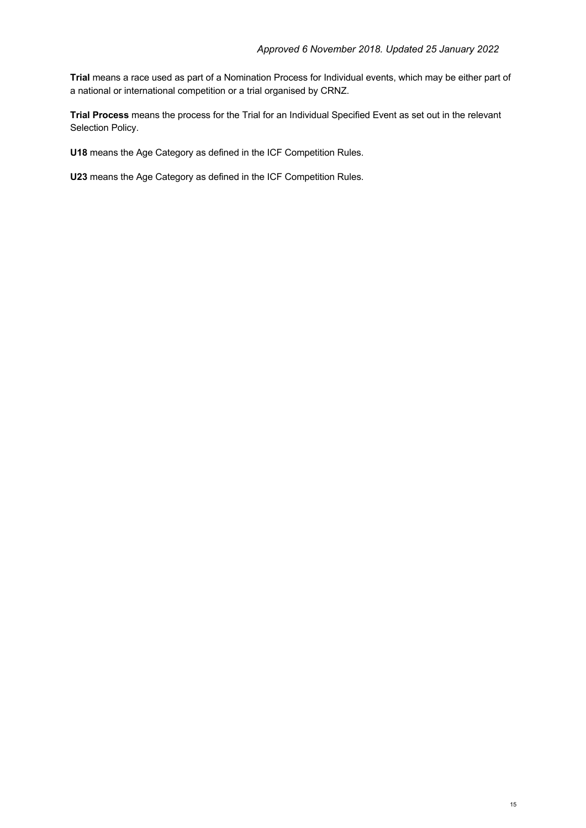**Trial** means a race used as part of a Nomination Process for Individual events, which may be either part of a national or international competition or a trial organised by CRNZ.

**Trial Process** means the process for the Trial for an Individual Specified Event as set out in the relevant Selection Policy.

**U18** means the Age Category as defined in the ICF Competition Rules.

**U23** means the Age Category as defined in the ICF Competition Rules.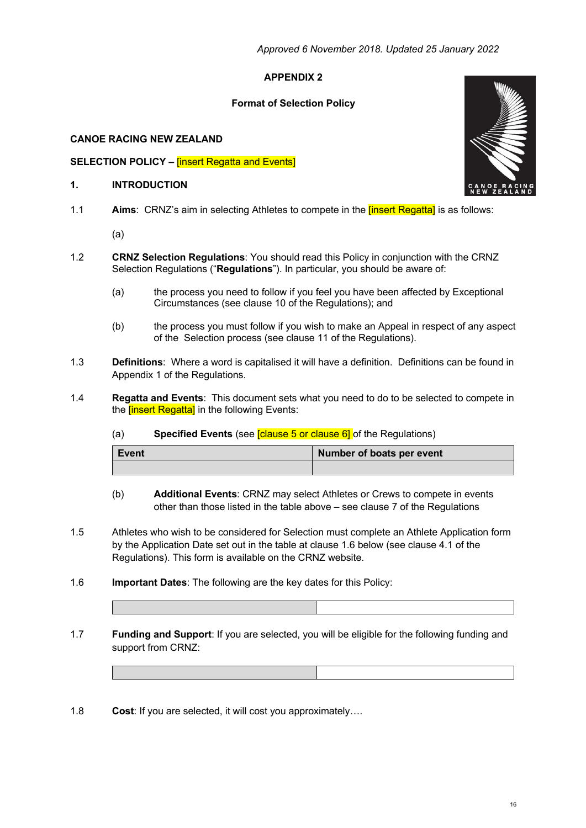## **APPENDIX 2**

### **Format of Selection Policy**

### **CANOE RACING NEW ZEALAND**

#### **SELECTION POLICY – <b>[insert Regatta and Events]**

#### **1. INTRODUCTION**

- 1.1 **Aims**: CRNZ's aim in selecting Athletes to compete in the [insert Regatta] is as follows:
	- (a)
- 1.2 **CRNZ Selection Regulations**: You should read this Policy in conjunction with the CRNZ Selection Regulations ("**Regulations**"). In particular, you should be aware of:
	- (a) the process you need to follow if you feel you have been affected by Exceptional Circumstances (see clause 10 of the Regulations); and
	- (b) the process you must follow if you wish to make an Appeal in respect of any aspect of the Selection process (see clause 11 of the Regulations).
- 1.3 **Definitions**: Where a word is capitalised it will have a definition. Definitions can be found in Appendix 1 of the Regulations.
- 1.4 **Regatta and Events**: This document sets what you need to do to be selected to compete in the **[insert Regatta]** in the following Events:
	- (a) **Specified Events** (see [clause 5 or clause 6] of the Regulations)

| Event | Number of boats per event |
|-------|---------------------------|
|       |                           |

- (b) **Additional Events**: CRNZ may select Athletes or Crews to compete in events other than those listed in the table above – see clause 7 of the Regulations
- 1.5 Athletes who wish to be considered for Selection must complete an Athlete Application form by the Application Date set out in the table at clause 1.6 below (see clause 4.1 of the Regulations). This form is available on the CRNZ website.
- 1.6 **Important Dates**: The following are the key dates for this Policy:
- 1.7 **Funding and Support**: If you are selected, you will be eligible for the following funding and support from CRNZ:
- 1.8 **Cost**: If you are selected, it will cost you approximately….